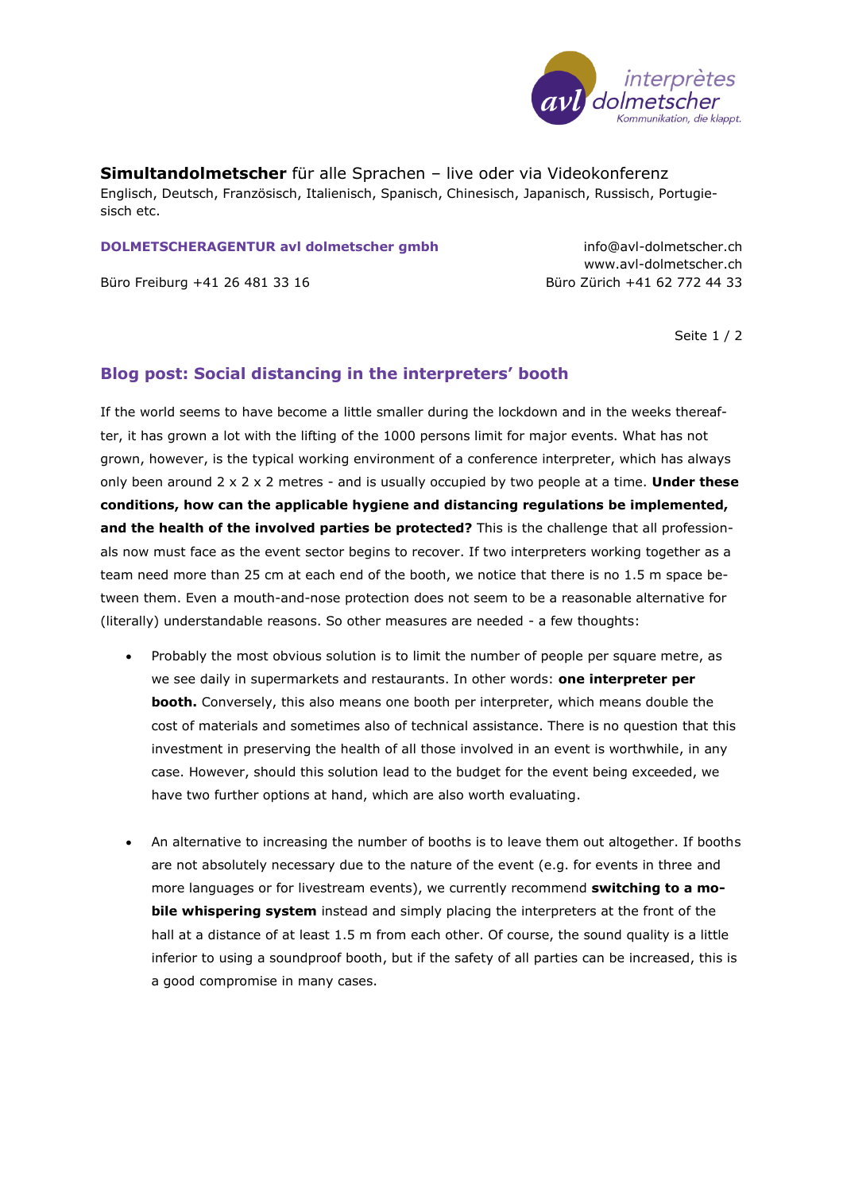

**Simultandolmetscher** für alle Sprachen – live oder via Videokonferenz Englisch, Deutsch, Französisch, Italienisch, Spanisch, Chinesisch, Japanisch, Russisch, Portugiesisch etc.

## **DOLMETSCHERAGENTUR avl dolmetscher gmbh** info@avl-dolmetscher.ch

Büro Freiburg +41 26 481 33 16 Büro Zürich +41 62 772 44 33

www.avl-dolmetscher.ch

Seite 1 / 2

## **Blog post: Social distancing in the interpreters' booth**

If the world seems to have become a little smaller during the lockdown and in the weeks thereafter, it has grown a lot with the lifting of the 1000 persons limit for major events. What has not grown, however, is the typical working environment of a conference interpreter, which has always only been around 2 x 2 x 2 metres - and is usually occupied by two people at a time. **Under these conditions, how can the applicable hygiene and distancing regulations be implemented, and the health of the involved parties be protected?** This is the challenge that all professionals now must face as the event sector begins to recover. If two interpreters working together as a team need more than 25 cm at each end of the booth, we notice that there is no 1.5 m space between them. Even a mouth-and-nose protection does not seem to be a reasonable alternative for (literally) understandable reasons. So other measures are needed - a few thoughts:

- Probably the most obvious solution is to limit the number of people per square metre, as we see daily in supermarkets and restaurants. In other words: **one interpreter per booth.** Conversely, this also means one booth per interpreter, which means double the cost of materials and sometimes also of technical assistance. There is no question that this investment in preserving the health of all those involved in an event is worthwhile, in any case. However, should this solution lead to the budget for the event being exceeded, we have two further options at hand, which are also worth evaluating.
- An alternative to increasing the number of booths is to leave them out altogether. If booths are not absolutely necessary due to the nature of the event (e.g. for events in three and more languages or for livestream events), we currently recommend **switching to a mobile whispering system** instead and simply placing the interpreters at the front of the hall at a distance of at least 1.5 m from each other. Of course, the sound quality is a little inferior to using a soundproof booth, but if the safety of all parties can be increased, this is a good compromise in many cases.